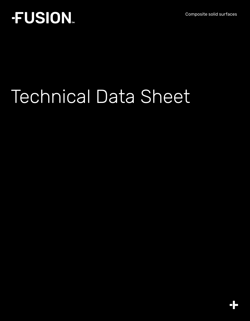Composite solid surfaces

# **FUSION.**

# Technical Data Sheet

 $\frac{1}{\sqrt{2}}$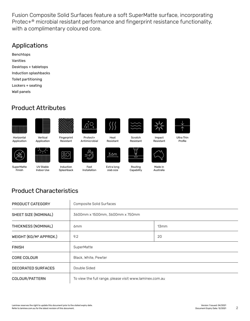Fusion Composite Solid Surfaces feature a soft SuperMatte surface, incorporating Protec+® microbial resistant performance and fingerprint resistance functionality, with a complimentary coloured core.

#### Applications

Benchtops Vanities Desktops + tabletops Induction splashbacks Toilet partitioning Lockers + seating Wall panels

#### Product Attributes







Resistant

Induction Splashback

 $\overline{1}$ 



Protect+ Antimicrobial

Fast Installation



Heat Resistant

Extra long slab size



**Scratch** Resistant

**Capability** 



Impact Resistant



Ultra Thin Profile

Horizontal Application



**SuperMatte** Finish

Application

UV Stable Indoor Use



3.6m

Routing



Made in Australia

# Product Characteristics

| PRODUCT CATEGORY                   | Composite Solid Surfaces                                |      |  |
|------------------------------------|---------------------------------------------------------|------|--|
| SHEET SIZE (NOMINAL)               | 3600mm x 1500mm, 3600mm x 750mm                         |      |  |
| THICKNESS (NOMINAL)                | 6 <sub>mm</sub>                                         | 13mm |  |
| WEIGHT (KG/M <sup>2</sup> APPROX.) | 9.2                                                     | 20   |  |
| <b>FINISH</b>                      | SuperMatte                                              |      |  |
| <b>CORE COLOUR</b>                 | Black, White, Pewter                                    |      |  |
| <b>DECORATED SURFACES</b>          | Double Sided                                            |      |  |
| COLOUR/PATTERN                     | To view the full range, please visit www.laminex.com.au |      |  |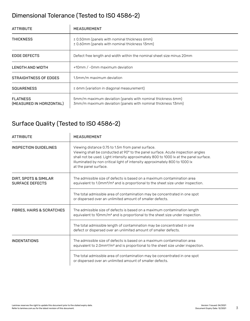#### Dimensional Tolerance (Tested to ISO 4586-2)

| <b>ATTRIBUTE</b>                            | MEASUREMENT                                                                                                                 |  |
|---------------------------------------------|-----------------------------------------------------------------------------------------------------------------------------|--|
| <b>THICKNESS</b>                            | ± 0.50mm (panels with nominal thickness 6mm)<br>± 0.60mm (panels with nominal thickness 13mm)                               |  |
| <b>EDGE DEFECTS</b>                         | Defect free length and width within the nominal sheet size minus 20mm                                                       |  |
| LENGTH AND WIDTH                            | +10mm / -0mm maximum deviation                                                                                              |  |
| STRAIGHTNESS OF EDGES                       | 1.5mm/m maximum deviation                                                                                                   |  |
| <b>SOUARENESS</b>                           | $\leq$ 6mm (variation in diagonal measurement)                                                                              |  |
| <b>FLATNESS</b><br>(MEASURED IN HORIZONTAL) | 5mm/m maximum deviation (panels with nominal thickness 6mm)<br>3mm/m maximum deviation (panels with nominal thickness 13mm) |  |

#### Surface Quality (Tested to ISO 4586-2)

| <b>ATTRIBUTE</b>                                | <b>MEASUREMENT</b>                                                                                                                                                                                                                                                                                                                    |  |  |
|-------------------------------------------------|---------------------------------------------------------------------------------------------------------------------------------------------------------------------------------------------------------------------------------------------------------------------------------------------------------------------------------------|--|--|
| INSPECTION GUIDELINES                           | Viewing distance 0.75 to 1.5m from panel surface.<br>Viewing shall be conducted at 90° to the panel surface. Acute inspection angles<br>shall not be used. Light intensity approximately 800 to 1000 lx at the panel surface.<br>Illuminated by non critical light of intensity approximately 800 to 1000 lx<br>at the panel surface. |  |  |
| DIRT, SPOTS & SIMILAR<br><b>SURFACE DEFECTS</b> | The admissible size of defects is based on a maximum contamination area<br>equivalent to $1.0\,\mathrm{mm}^2/\mathrm{m}^2$ and is proportional to the sheet size under inspection.                                                                                                                                                    |  |  |
|                                                 | The total admissible area of contamination may be concentrated in one spot<br>or dispersed over an unlimited amount of smaller defects.                                                                                                                                                                                               |  |  |
| <b>FIBRES, HAIRS &amp; SCRATCHES</b>            | The admissible size of defects is based on a maximum contamination length<br>equivalent to 10mm/m <sup>2</sup> and is proportional to the sheet size under inspection.                                                                                                                                                                |  |  |
|                                                 | The total admissible length of contamination may be concentrated in one<br>defect or dispersed over an unlimited amount of smaller defects.                                                                                                                                                                                           |  |  |
| <b>INDENTATIONS</b>                             | The admissible size of defects is based on a maximum contamination area<br>equivalent to $2.0$ mm $^{2}/m^{2}$ and is proportional to the sheet size under inspection.                                                                                                                                                                |  |  |
|                                                 | The total admissible area of contamination may be concentrated in one spot<br>or dispersed over an unlimited amount of smaller defects.                                                                                                                                                                                               |  |  |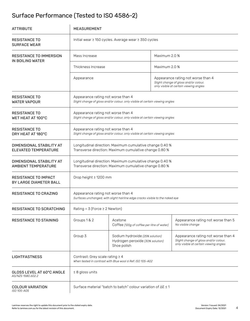# Surface Performance (Tested to ISO 4586-2)

| <b>ATTRIBUTE</b>                                       | <b>MEASUREMENT</b>                                                                                                  |                                                                                    |                                                                                                                       |                                                                                                                       |  |
|--------------------------------------------------------|---------------------------------------------------------------------------------------------------------------------|------------------------------------------------------------------------------------|-----------------------------------------------------------------------------------------------------------------------|-----------------------------------------------------------------------------------------------------------------------|--|
| <b>RESISTANCE TO</b><br><b>SURFACE WEAR</b>            | Initial wear ≥ 150 cycles. Average wear ≥ 350 cycles                                                                |                                                                                    |                                                                                                                       |                                                                                                                       |  |
| <b>RESISTANCE TO IMMERSION</b><br>IN BOILING WATER     | Mass Increase                                                                                                       |                                                                                    | Maximum 2.0 %                                                                                                         |                                                                                                                       |  |
|                                                        | Thickness Increase                                                                                                  |                                                                                    |                                                                                                                       | Maximum 2.0 %                                                                                                         |  |
|                                                        | Appearance                                                                                                          |                                                                                    | Appearance rating not worse than 4<br>Slight change of gloss and/or colour,<br>only visible at certain viewing angles |                                                                                                                       |  |
| <b>RESISTANCE TO</b><br><b>WATER VAPOUR</b>            | Appearance rating not worse than 4<br>Slight change of gloss and/or colour, only visible at certain viewing angles  |                                                                                    |                                                                                                                       |                                                                                                                       |  |
| <b>RESISTANCE TO</b><br>WET HEAT AT 100°C              | Appearance rating not worse than 4<br>Slight change of gloss and/or colour, only visible at certain viewing angles  |                                                                                    |                                                                                                                       |                                                                                                                       |  |
| <b>RESISTANCE TO</b><br>DRY HEAT AT 180°C              | Appearance rating not worse than 4<br>Slight change of gloss and/or colour, only visible at certain viewing angles  |                                                                                    |                                                                                                                       |                                                                                                                       |  |
| DIMENSIONAL STABILITY AT<br>ELEVATED TEMPERATURE       | Longitudinal direction: Maximum cumulative change 0.40 %<br>Transverse direction: Maximum cumulative change 0.80 %  |                                                                                    |                                                                                                                       |                                                                                                                       |  |
| DIMENSIONAL STABILITY AT<br><b>AMBIENT TEMPERATURE</b> | Longitudinal direction: Maximum cumulative change 0.40 %<br>Transverse direction: Maximum cumulative change 0.80 %  |                                                                                    |                                                                                                                       |                                                                                                                       |  |
| <b>RESISTANCE TO IMPACT</b><br>BY LARGE DIAMETER BALL  | Drop height ≥ 1200 mm                                                                                               |                                                                                    |                                                                                                                       |                                                                                                                       |  |
| <b>RESISTANCE TO CRAZING</b>                           | Appearance rating not worse than 4<br>Surfaces unchanged, with slight hairline edge cracks visible to the naked eye |                                                                                    |                                                                                                                       |                                                                                                                       |  |
| <b>RESISTANCE TO SCRATCHING</b>                        | Rating = $3$ (Force $\geq 2$ Newton)                                                                                |                                                                                    |                                                                                                                       |                                                                                                                       |  |
| <b>RESISTANCE TO STAINING</b>                          | Groups 1 & 2                                                                                                        | Acetone<br>Coffee (120g of coffee per litre of water)                              |                                                                                                                       | Appearance rating not worse than 5<br>No visible change                                                               |  |
|                                                        | Group 3                                                                                                             | Sodium hydroxide (25% solution)<br>Hydrogen peroxide (30% solution)<br>Shoe polish |                                                                                                                       | Appearance rating not worse than 4<br>Slight change of gloss and/or colour,<br>only visible at certain viewing angles |  |
| <b>LIGHTFASTNESS</b>                                   | Contrast: Grey scale rating $\geq 4$<br>When tested in contrast with Blue wool 6 Ref: ISO 105-A02                   |                                                                                    |                                                                                                                       |                                                                                                                       |  |
| GLOSS LEVEL AT 60°C ANGLE<br>AS/NZS 1580.602.2         | $\leq 8$ gloss units                                                                                                |                                                                                    |                                                                                                                       |                                                                                                                       |  |
| <b>COLOUR VARIATION</b><br>ISO 105-A05                 | Surface material "batch to batch" colour variation of ∆E ≤ 1                                                        |                                                                                    |                                                                                                                       |                                                                                                                       |  |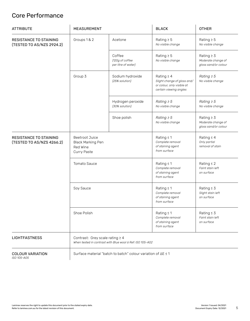#### Core Performance

| <b>ATTRIBUTE</b>                                           | MEASUREMENT                                                                                       |                                                  | <b>BLACK</b>                                                                                           | <b>OTHER</b>                                                  |
|------------------------------------------------------------|---------------------------------------------------------------------------------------------------|--------------------------------------------------|--------------------------------------------------------------------------------------------------------|---------------------------------------------------------------|
| <b>RESISTANCE TO STAINING</b><br>(TESTED TO AS/NZS 2924.2) | Groups 1 & 2                                                                                      | Acetone                                          | Rating $\geq$ 5<br>No visible change                                                                   | Rating $\geq$ 5<br>No visible change                          |
|                                                            |                                                                                                   | Coffee<br>(120g of coffee<br>per litre of water) | Rating $\geq$ 5<br>No visible change                                                                   | Rating $\geq$ 3<br>Moderate change of<br>gloss sand/or colour |
|                                                            | Group 3                                                                                           | Sodium hydroxide<br>(25% solution)               | Rating $\geq 4$<br>Slight change of gloss and/<br>or colour, only visible at<br>certain viewing angles | Rating $\geq 5$<br>No visible change                          |
|                                                            |                                                                                                   | Hydrogen peroxide<br>(30% solution)              | Rating $\geq 5$<br>No visible change                                                                   | Rating $\geq 5$<br>No visible change                          |
|                                                            |                                                                                                   | Shoe polish                                      | Rating $\geq 5$<br>No visible change                                                                   | Rating $\geq$ 3<br>Moderate change of<br>gloss sand/or colour |
| <b>RESISTANCE TO STAINING</b><br>(TESTED TO AS/NZS 4266.2) | <b>Beetroot Juice</b><br><b>Black Marking Pen</b><br>Red Wine<br>Curry Paste                      |                                                  | Rating $\leq 1$<br>Complete removal<br>of staining agent<br>from surface                               | Rating $\leq 4$<br>Only partial<br>removal of stain           |
|                                                            | <b>Tomato Sauce</b>                                                                               |                                                  | Rating $\leq 1$<br>Complete removal<br>of staining agent<br>from surface                               | Rating $\leq 2$<br>Faint stain left<br>on surface             |
|                                                            | Soy Sauce                                                                                         |                                                  | Rating $\leq 1$<br>Complete removal<br>of staining agent<br>from surface                               | Rating $\leq$ 3<br>Slight stain left<br>on surface            |
|                                                            | Shoe Polish                                                                                       |                                                  | Rating $\leq 1$<br>Complete removal<br>of staining agent<br>from surface                               | Rating $\leq$ 3<br>Faint stain left<br>on surface             |
| <b>LIGHTFASTNESS</b>                                       | Contrast: Grey scale rating $\geq 4$<br>When tested in contrast with Blue wool 6 Ref: ISO 105-A02 |                                                  |                                                                                                        |                                                               |
| <b>COLOUR VARIATION</b><br>ISO 105-A05                     | Surface material "batch to batch" colour variation of ∆E ≤ 1                                      |                                                  |                                                                                                        |                                                               |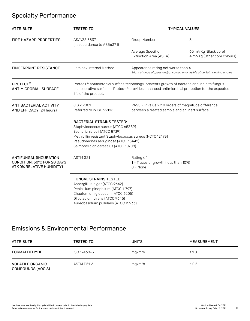### Specialty Performance

| <b>ATTRIBUTE</b>                                                                   | <b>TESTED TO:</b>                                                                                                                                                                                                                                 | <b>TYPICAL VALUES</b>                                                                                              |                                                                                 |  |
|------------------------------------------------------------------------------------|---------------------------------------------------------------------------------------------------------------------------------------------------------------------------------------------------------------------------------------------------|--------------------------------------------------------------------------------------------------------------------|---------------------------------------------------------------------------------|--|
| <b>FIRE HAZARD PROPERTIES</b>                                                      | AS/NZS 3837<br>(In accordance to AS5637.1)                                                                                                                                                                                                        | Group Number                                                                                                       | 3                                                                               |  |
|                                                                                    |                                                                                                                                                                                                                                                   | Average Specific<br>Extinction Area (ASEA)                                                                         | 65 m <sup>2</sup> /Kg (Black core)<br>4 m <sup>2</sup> /Kg (Other core colours) |  |
| <b>FINGERPRINT RESISTANCE</b>                                                      | Laminex Internal Method                                                                                                                                                                                                                           | Appearance rating not worse than 4<br>Slight change of gloss and/or colour, only visible at certain viewing angles |                                                                                 |  |
| PROTEC+ <sup>®</sup><br><b>ANTIMICROBIAL SURFACE</b>                               | Protec+® antimicrobial surface technology, prevents growth of bacteria and inhibits fungus<br>on decorative surfaces. Protec+® provides enhanced antimicrobial protection for the expected<br>life of the product.                                |                                                                                                                    |                                                                                 |  |
| ANTIBACTERIAL ACTIVITY<br>AND EFFICACY (24 hours)                                  | JIS Z 2801<br>Referred to in ISO 22196                                                                                                                                                                                                            | PASS = R value > 2.0 orders of magnitude difference<br>between a treated sample and an inert surface               |                                                                                 |  |
|                                                                                    | <b>BACTERIAL STRAINS TESTED:</b><br>Staphylococcus aureus (ATCC 6538P)<br>Escherichia coli (ATCC 8739)<br>Methicillin resistant Staphylococcus aureus (NCTC 12493)<br>Pseudomonas aeruginosa (ATCC 15442)<br>Salmonella chloeraesius (ATCC 10708) |                                                                                                                    |                                                                                 |  |
| ANTIFUNGAL (INCUBATION<br>CONDITION: 30°C FOR 28 DAYS<br>AT 90% RELATIVE HUMIDITY) | ASTM G21                                                                                                                                                                                                                                          | Rating $\leq$ 1<br>1 = Traces of growth (less than 10%)<br>$0 = None$                                              |                                                                                 |  |
|                                                                                    | <b>FUNGAL STRAINS TESTED:</b><br>Aspergillius niger (ATCC 9642)<br>Penicillium pinophilum (ATCC 11797)<br>Chaetomium globosum (ATCC 6205)<br>Gliocladium virens (ATCC 9645)<br>Aureobasidium pullulans (ATCC 15233)                               |                                                                                                                    |                                                                                 |  |

#### Emissions & Environmental Performance

| ATTRIBUTE                                    | TESTED TO:  | <b>UNITS</b>        | MEASUREMENT |
|----------------------------------------------|-------------|---------------------|-------------|
| FORMALDEHYDE                                 | ISO 12460-3 | mg/m <sup>2</sup> h | $\leq 1.0$  |
| <b>VOLATILE ORGANIC</b><br>COMPOUNDS (VOC'S) | ASTM D5116  | mg/m <sup>2</sup> h | $\leq 0.5$  |